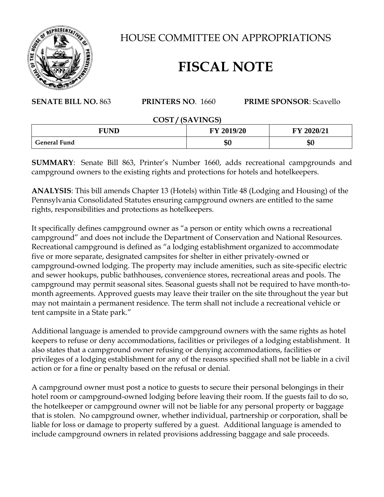

HOUSE COMMITTEE ON APPROPRIATIONS

# **FISCAL NOTE**

## **SENATE BILL NO.** 863 **PRINTERS NO**. 1660 **PRIME SPONSOR**: Scavello

#### **COST / (SAVINGS)**

| <b>FUND</b>         | <b>FY 2019/20</b> | FY 2020/21 |
|---------------------|-------------------|------------|
| <b>General Fund</b> | ጦ<br>งบ           | \$0        |

**SUMMARY**: Senate Bill 863, Printer's Number 1660, adds recreational campgrounds and campground owners to the existing rights and protections for hotels and hotelkeepers.

**ANALYSIS**: This bill amends Chapter 13 (Hotels) within Title 48 (Lodging and Housing) of the Pennsylvania Consolidated Statutes ensuring campground owners are entitled to the same rights, responsibilities and protections as hotelkeepers.

It specifically defines campground owner as "a person or entity which owns a recreational campground" and does not include the Department of Conservation and National Resources. Recreational campground is defined as "a lodging establishment organized to accommodate five or more separate, designated campsites for shelter in either privately-owned or campground-owned lodging. The property may include amenities, such as site-specific electric and sewer hookups, public bathhouses, convenience stores, recreational areas and pools. The campground may permit seasonal sites. Seasonal guests shall not be required to have month-tomonth agreements. Approved guests may leave their trailer on the site throughout the year but may not maintain a permanent residence. The term shall not include a recreational vehicle or tent campsite in a State park."

Additional language is amended to provide campground owners with the same rights as hotel keepers to refuse or deny accommodations, facilities or privileges of a lodging establishment. It also states that a campground owner refusing or denying accommodations, facilities or privileges of a lodging establishment for any of the reasons specified shall not be liable in a civil action or for a fine or penalty based on the refusal or denial.

A campground owner must post a notice to guests to secure their personal belongings in their hotel room or campground-owned lodging before leaving their room. If the guests fail to do so, the hotelkeeper or campground owner will not be liable for any personal property or baggage that is stolen. No campground owner, whether individual, partnership or corporation, shall be liable for loss or damage to property suffered by a guest. Additional language is amended to include campground owners in related provisions addressing baggage and sale proceeds.